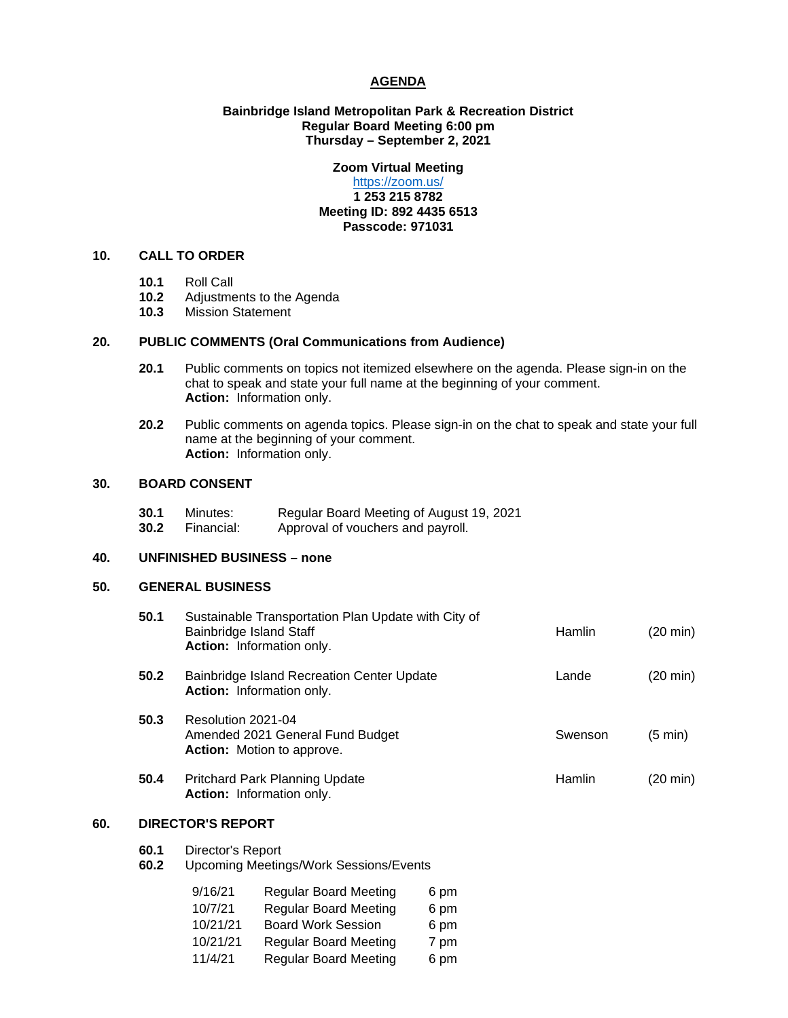#### **AGENDA**

### **Bainbridge Island Metropolitan Park & Recreation District Regular Board Meeting 6:00 pm Thursday – September 2, 2021**

# **Zoom Virtual Meeting**

### <https://zoom.us/> **1 253 215 8782 Meeting ID: 892 4435 6513 Passcode: 971031**

# **10. CALL TO ORDER**

- **10.1** Roll Call
- 10.2 Adjustments to the Agenda<br>10.3 Mission Statement
- **10.3** Mission Statement

#### **20. PUBLIC COMMENTS (Oral Communications from Audience)**

- **20.1** Public comments on topics not itemized elsewhere on the agenda. Please sign-in on the chat to speak and state your full name at the beginning of your comment. **Action:** Information only.
- **20.2** Public comments on agenda topics. Please sign-in on the chat to speak and state your full name at the beginning of your comment. **Action:** Information only.

### **30. BOARD CONSENT**

**30.1** Minutes: Regular Board Meeting of August 19, 2021<br>**30.2** Financial: Approval of vouchers and payroll. Approval of vouchers and payroll.

# **40. UNFINISHED BUSINESS – none**

#### **50. GENERAL BUSINESS**

| 50.1 | Sustainable Transportation Plan Update with City of<br>Bainbridge Island Staff<br>Action: Information only. | Hamlin  | (20 min)          |
|------|-------------------------------------------------------------------------------------------------------------|---------|-------------------|
| 50.2 | Bainbridge Island Recreation Center Update<br><b>Action:</b> Information only.                              | Lande   | (20 min)          |
| 50.3 | Resolution 2021-04<br>Amended 2021 General Fund Budget<br><b>Action:</b> Motion to approve.                 | Swenson | $(5 \text{ min})$ |
| 50.4 | Pritchard Park Planning Update<br>Action: Information only.                                                 | Hamlin  | (20 min)          |

# **60. DIRECTOR'S REPORT**

- **60.1** Director's Report
- **60.2** Upcoming Meetings/Work Sessions/Events

| 9/16/21  | <b>Regular Board Meeting</b> | 6 pm |
|----------|------------------------------|------|
| 10/7/21  | <b>Regular Board Meeting</b> | 6 pm |
| 10/21/21 | <b>Board Work Session</b>    | 6 pm |
| 10/21/21 | <b>Regular Board Meeting</b> | 7 pm |
| 11/4/21  | <b>Regular Board Meeting</b> | 6 pm |